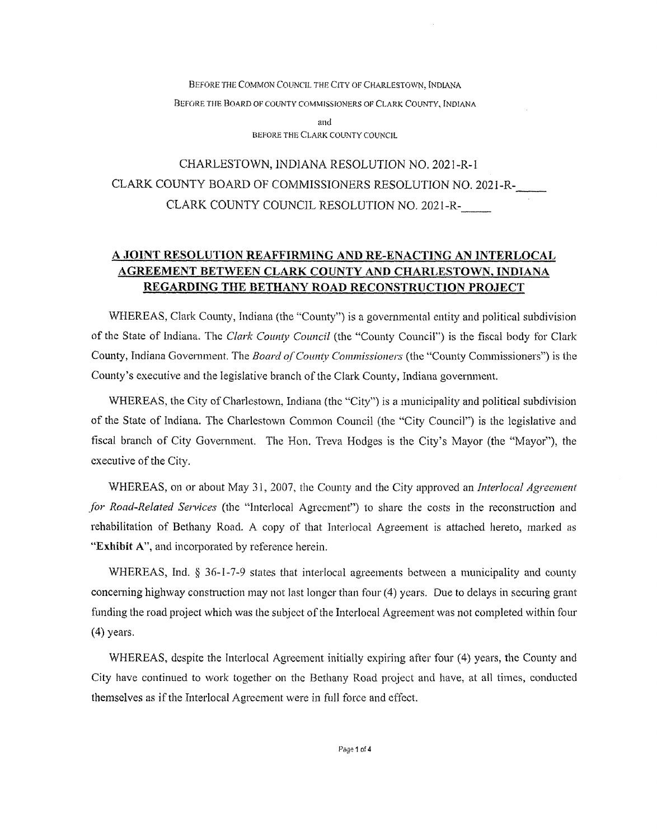Before the Common Council the City of Charlestown, [ndiana Before the Board of county commissioners of Clark County, Indiana and

BEFORE THE CLARK COUNTY COUNCIL

## CHARLESTOWN, INDIANA RESOLUTION NO. 2021-R-l CLARK COUNTY BOARD OF COMMISSIONERS RESOLUTION NO. 2021-R-CLARK COUNTY COUNCIL RESOLUTION NO. 2021-R-

### A JOINT RESOLUTION REAFFIRMING AND RE-ENACTING AN INTERLOCAL AGREEMENT BETWEEN **CLARK** COUNTY AND CHARLESTOWN. INDIANA REGARDING THE BETHANY ROAD RECONSTRUCTION PROJECT

WHEREAS, Clark County, Indiana (the "County") is a governmental entity and political subdivision of the State of Indiana. The *Clark County Council* (the "County Council") is the fiscal body for Clark County, Indiana Govemraent. The *Board ofCounty Commissioners* (the "County Commissioners") is the County's executive and the legislative branch of the Clark County, Indiana government.

WHEREAS, the City of Charlestown, Indiana (the "City") is a municipality and political subdivision of the State of Indiana. The Charlestown Common Council (the "City Council") is the legislative and fiscal branch of City Government. The Hon. Treva Hodges is the City's Mayor (the "Mayor"), the executive of the City.

WHEREAS, on or about May 31, 2007, the County and the City approved *an Interlocal Agreement for Road-Related Services* (the "Interlocal Agreement") to share the costs in the reconstruction and rehabilitation of Bethany Road. A copy of that Interlocal Agreement is attached hereto, marked as "Exhibit A", and incorporated by reference herein.

WHEREAS, Ind. § 36-1-7-9 states that interlocal agreements between a municipality and county conceming highway constraction may not last longer than four (4) years. Due to delays in securing grant funding the road project which was the subject of the Interlocal Agreement was not completed within four (4) years.

WHEREAS, despite the Interlocal Agreement initially expiring after four (4) years, the County and City have continued to work together on the Bethany Road project and have, at all times, conducted themselves as if the Interlocal Agreement were in full force and effect.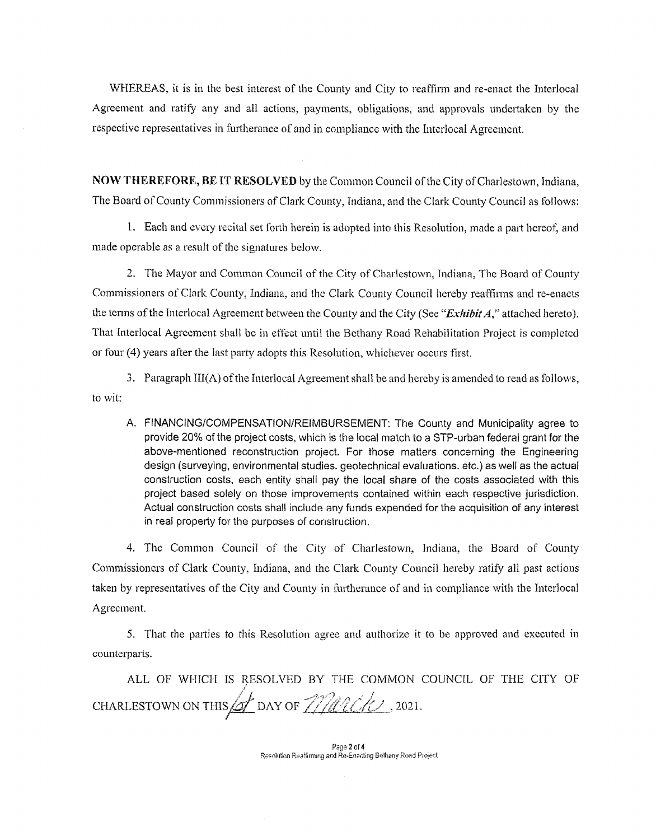WHEREAS, it is in the best interest of the County and City to reaffirm and re-enact the Interlocal Agreement and ratify any and all actions, payments, obligations, and approvals undertaken by the respective representatives in furtherance of and in compliance with the Interlocal Agreement.

NOW THEREFORE, BE IT RESOLVED by the Common Council of the City of Charlestown, Indiana, The Board of County Commissioners of Clark County, Indiana, and the Clark County Council as follows:

1. Each and every recital set forth herein is adopted into this Resolution, made a part hereof, and made operable as a result of the signatures below.

2. The Mayor and Common Council of the City of Charlestown, Indiana, The Board of County Commissionens of Clark County, Indiana, and the Clark County Council hereby reaffirms and re-enacts the terms of the Interlocal Agreement between the County and the City (See "*Exhibit A*," attached hereto). That Interlocal Agreement shall be in effect until the Bethany Road Rehabilitation Project is completed or four (4) years after the last party adopts this Resolution, whichever occurs first.

3. Paragraph III(A) ofthe Imerlocal Agreement shall be and hereby is amended to read as follows, to wit;

A. FINANCING/COMPENSATION/REIMBURSEMENT; The County and Municipality agree to provide 20% of the project costs, which is the local match to a STP-urban federal grant for the above-mentioned reconstruction project. For those matters concerning the Engineering design (surveying, environmental studies, geotechnical evaluations, etc.) as well as the actual construction costs, each entity shall pay the local share of the costs associated with this project based solely on those improvements contained within each respective jurisdiction. Actual construction costs shall include any funds expended for the acquisition of any interest in real property for the purposes of construction.

4. The Common Council of the City of Charlestown, Indiana, the Board of County Commissioners of Clark County, Indiana, and the Clark County Council hereby ratify all past actions taken by representatives of the City and County in furtherance of and in compliance with the Interlocal Agreement.

5. That die parties to this Resolution agree and authorize it to be approved and executed in counterparts.

ALL OF WHICH IS RESOLVED BY THE COMMON COUNCIL OF THE CITY OF CHARLESTOWN ON THIS **6** DAY OF *MACK*, 2021.

Page 2 of 4 Resokition Reaffirming and Re-Enarting Bethany Road Project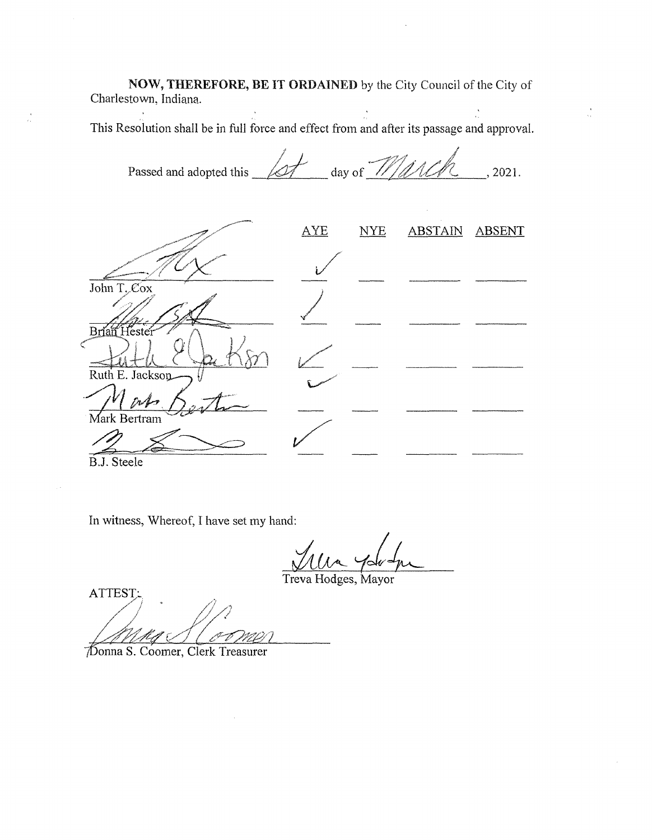**NOW, THEREFORE, BE IT ORDAINED** by the City Council of the City of Charlestown, Indiana.

This Resolution shall be in full force and effect from and after its passage and approval.

Passed and adopted this  $\sqrt{\frac{df}{dx}}$  day of  $\frac{1}{\sqrt{4\pi}}$ AYE NYE ABSTAIN ABSENT John T. Cox

Brian Hestei Ruth E. Jackson Mark Bertram

B.J. Steele

In witness, Whereof, I have set my hand:

Treva Hodges, Mayor

ATTEST:

Donna S. Coomer, Clerk Treasurer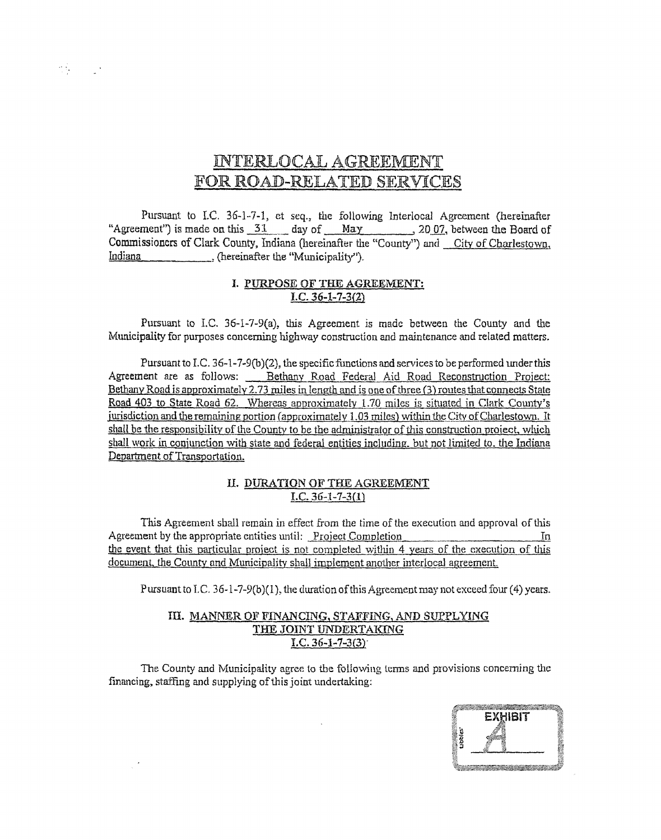# INTERLOCAL AGREEMENT FOR ROAD-RELATED SERVICES

Pursuant to I.C. 36-1-7-1, et seq., the following Interlocal Agreement (hereinafter "Agreement") is made on this 31 day of May 2007, between the Board of Commissioners of Clark County, Indiana (hereinafter the "County") and City of Charlestown. Indiana (hereinafter the "Municipality").

#### I. PURPOSE OF THE AGREEMENT:  $\overline{I.C. 36-1-7-3(2)}$

Pursuant to I.C. 36-1-7-9(a), this Agreement is made between the County and the Municipality for purposes concerning highway construction and maintenance and related matters.

Pursuant to I.C. 36-1-7-9(b)(2), the specific functions and services to be performed under this Agreement are as follows: Bethany Road Federal Aid Road Reconstruction Project: Bethany Road is approximately 2.73 miles in length and is one of three (3) routes that connects State Road 403 to State Road 62. Whereas approximately 1.70 miles is situated in Clark County's jurisdiction and the remaining portion (approximately  $1.03$  miles) within the City of Charlestown. It shall be the responsibility of the County to be the administrator of this construction project, which shall work in conjunction with state and federal entities including, but not limited to, the Indiana Department of Transportation.

#### II. DURATION OF THE AGREEMENT  $I.C. 36-1-7-3(1)$

This Agreement shall remain in effect from the time of the execution and approval of this Agreement by the appropriate entities until: Project Completion  $\ln$ the event that this particular project is not completed within 4 years of the execution of this document, the County and Municipality shall implement another interlocal agreement.

Pursuant to I.C. 36-1-7-9(b)(1), the duration of this Agreement may not exceed four (4) years.

#### III. MANNER OF FINANCING, STAFFING, AND SUPPLYING THE JOINT UNDERTAKING I.C.  $36 - 1 - 7 - 3(3)$

The County and Municipality agree to the following terms and provisions concerning the financing, staffing and supplying of this joint undertaking:



<u> Tanah Seria di Bandaran Seria di Bandaran Seria di Bandaran Seria di Bandaran Seria di Bandaran Seria di Bandaran </u>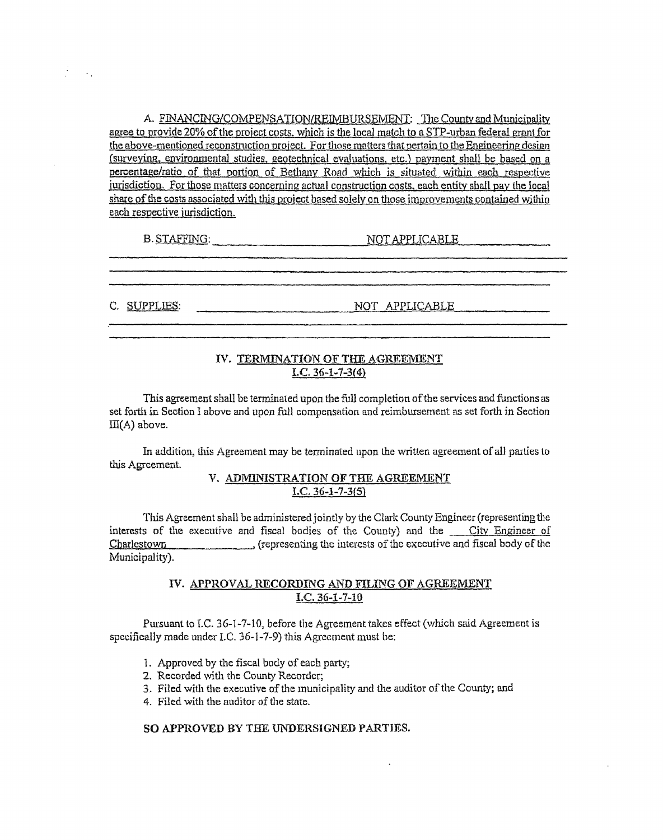A. FINANCING/COMPENSATION/REIMBURSEMENT: The County and Municipality agree to provide 20% of the project costs, which is the local match to a STP-urban federal grant for the above-mentioned reconstruction project. For those matters that pertain to the Engineering design (surveying, environmental studies, geotechnical evaluations, etc.) payment shall be based on a percentage/ratio of that portion of Bethany Road which is situated within each respective jurisdiction. For those matters concerning actual construction costs, each entity shall pay the local share of the costs associated with this project based solely on those improvements contained within each respective jurisdiction.

B. STAFFING: NOT APPLICABLE

C. SUPPLIES: NOT APPLICABLE

#### IV. TERMINATION OF THE AGREEMENT I.C. *36-1-7-3(4)*

This agreementshall be terminated upon the full completion ofthe services and functions as set forth in Section I above and upon full compensation and reimbursement as set forth in Section  $III(A)$  above.

In addition, this Agreement may be terminated upon the written agreement of all parties to this Agreement.

#### V. ADMINISTRATION OF THE AGREEMENT I.C.  $36 - 1 - 7 - 3(5)$

This Agreement shall be administered jointly by the Clark County Engineer (representing the interests of the executive and fiscal bodies of the County) and the City Engineer of Charlestown \_\_\_\_\_\_\_\_\_\_\_, (representing the interests of the executive and fiscal body of the Municipality).

#### IV- APPROVAL RECORDING AND FILING OF AGREEMENT  $I.C. 36-1-7-10$

Pursuant to I.C. 36-1-7-10, before the Agreement takes effect (which said Agreement is specifically made under I.C. 36-1-7-9) this Agreement must be;

- 1. Approved by the fiscal body of each party;
- 2. Recorded with the County Recorder;
- 3. Filed with the executive of the municipality and the auditor of the County; and
- 4. Filed with the auditor of the state.

#### **SO APPROVED BY** THE **UNDERSIGNED** PARTIES.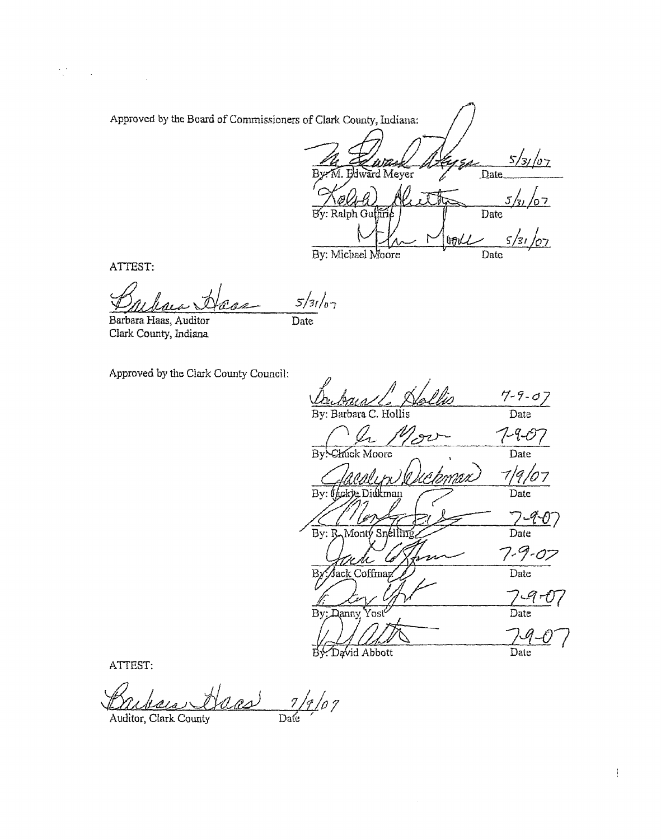| Approved by the Board of Commissioners of Clark County, Indiana: |  |
|------------------------------------------------------------------|--|
|                                                                  |  |
| VI. Eklward Meyer<br>Date.                                       |  |
|                                                                  |  |
| By: Ralph Guffirie<br>Date                                       |  |
| 31<br>$\sim$                                                     |  |
| By: Michael Moore<br>Date.                                       |  |

ATTEST:

 $\mathcal{H}^{\text{c}}_{\text{c}}$  ,  $\mathcal{H}^{\text{c}}_{\text{c}}$  ,  $\mathcal{H}^{\text{c}}_{\text{c}}$ 

 $5/31/67$ Cas

Barbara Haas, Auditor Clark County, Indiana

 $\overline{Date}$ 

Approved by the Clark County Council:

Dubaca / Nallis  $\frac{7-7-07}{\text{Date}}$  $\frac{7-9-07}{\text{Date}}$ Mov A. Chuck Moore  $\overline{Bv}$  $\frac{7}{9}/9$ bmnu) aani By: Chckye Didkman  $7-40$ By: B Monty Snellin  $7 - 9 - 07$ <br>Date Jack Coffman B  $\frac{79-07}{\text{Date}}$ By: Danny Yost  $\frac{79-0}{\text{Date}}$ By. David Abbott

ATTEST:

 $\frac{1}{2}$ 

Auditor, Clark County

 $\frac{1}{2}$